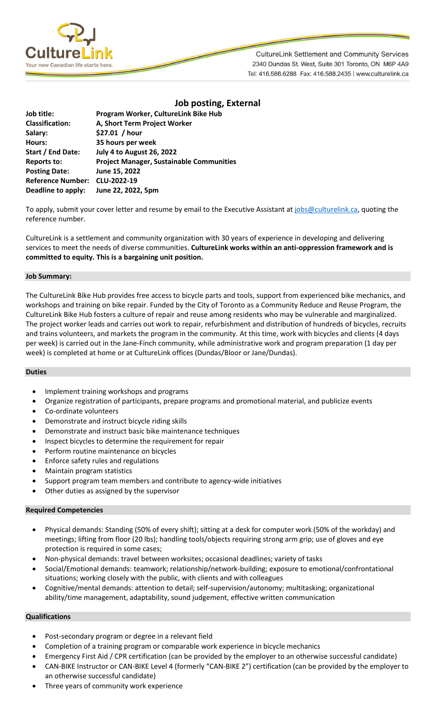

**CultureLink Settlement and Community Services** 2340 Dundas St. West, Suite 301 Toronto, ON M6P 4A9 Tel: 416.588.6288 Fax: 416.588.2435 | www.culturelink.ca

|                          | <b>Job posting, External</b>                    |
|--------------------------|-------------------------------------------------|
| Job title:               | Program Worker, CultureLink Bike Hub            |
| <b>Classification:</b>   | A, Short Term Project Worker                    |
| Salary:                  | \$27.01 / hour                                  |
| <b>Hours:</b>            | 35 hours per week                               |
| Start / End Date:        | <b>July 4 to August 26, 2022</b>                |
| Reports to:              | <b>Project Manager, Sustainable Communities</b> |
| <b>Posting Date:</b>     | June 15, 2022                                   |
| <b>Reference Number:</b> | CLU-2022-19                                     |
| Deadline to apply:       | June 22, 2022, 5pm                              |
|                          |                                                 |

To apply, submit your cover letter and resume by email to the Executive Assistant a[t jobs@culturelink.ca,](mailto:jobs@culturelink.ca) quoting the reference number.

CultureLink is a settlement and community organization with 30 years of experience in developing and delivering services to meet the needs of diverse communities. **CultureLink works within an anti-oppression framework and is committed to equity. This is a bargaining unit position.**

## **Job Summary:**

The CultureLink Bike Hub provides free access to bicycle parts and tools, support from experienced bike mechanics, and workshops and training on bike repair. Funded by the City of Toronto as a Community Reduce and Reuse Program, the CultureLink Bike Hub fosters a culture of repair and reuse among residents who may be vulnerable and marginalized. The project worker leads and carries out work to repair, refurbishment and distribution of hundreds of bicycles, recruits and trains volunteers, and markets the program in the community. At this time, work with bicycles and clients (4 days per week) is carried out in the Jane-Finch community, while administrative work and program preparation (1 day per week) is completed at home or at CultureLink offices (Dundas/Bloor or Jane/Dundas).

## **Duties**

- Implement training workshops and programs
- Organize registration of participants, prepare programs and promotional material, and publicize events
- Co-ordinate volunteers
- Demonstrate and instruct bicycle riding skills
- Demonstrate and instruct basic bike maintenance techniques
- Inspect bicycles to determine the requirement for repair
- Perform routine maintenance on bicycles
- Enforce safety rules and regulations
- Maintain program statistics
- Support program team members and contribute to agency-wide initiatives
- Other duties as assigned by the supervisor

## **Required Competencies**

- Physical demands: Standing (50% of every shift); sitting at a desk for computer work (50% of the workday) and meetings; lifting from floor (20 lbs); handling tools/objects requiring strong arm grip; use of gloves and eye protection is required in some cases;
- Non-physical demands: travel between worksites; occasional deadlines; variety of tasks
- Social/Emotional demands: teamwork; relationship/network-building; exposure to emotional/confrontational situations; working closely with the public, with clients and with colleagues
- Cognitive/mental demands: attention to detail; self-supervision/autonomy; multitasking; organizational ability/time management, adaptability, sound judgement, effective written communication

## **Qualifications**

- Post-secondary program or degree in a relevant field
- Completion of a training program or comparable work experience in bicycle mechanics
- Emergency First Aid / CPR certification (can be provided by the employer to an otherwise successful candidate)
- CAN-BIKE Instructor or CAN-BIKE Level 4 (formerly "CAN-BIKE 2") certification (can be provided by the employer to an otherwise successful candidate)
- Three years of community work experience